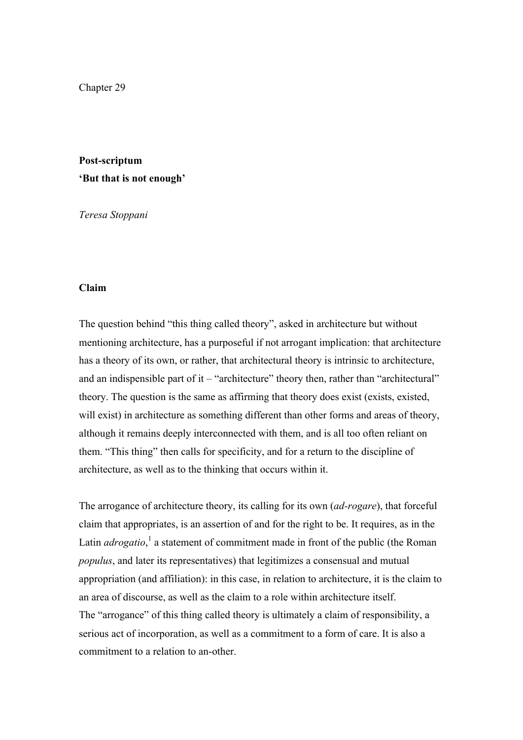Chapter 29

# **Post-scriptum 'But that is not enough'**

*Teresa Stoppani*

## **Claim**

The question behind "this thing called theory", asked in architecture but without mentioning architecture, has a purposeful if not arrogant implication: that architecture has a theory of its own, or rather, that architectural theory is intrinsic to architecture, and an indispensible part of it – "architecture" theory then, rather than "architectural" theory. The question is the same as affirming that theory does exist (exists, existed, will exist) in architecture as something different than other forms and areas of theory, although it remains deeply interconnected with them, and is all too often reliant on them. "This thing" then calls for specificity, and for a return to the discipline of architecture, as well as to the thinking that occurs within it.

The arrogance of architecture theory, its calling for its own (*ad-rogare*), that forceful claim that appropriates, is an assertion of and for the right to be. It requires, as in the Latin *adrogatio*,<sup>1</sup> a statement of commitment made in front of the public (the Roman *populus*, and later its representatives) that legitimizes a consensual and mutual appropriation (and affiliation): in this case, in relation to architecture, it is the claim to an area of discourse, as well as the claim to a role within architecture itself. The "arrogance" of this thing called theory is ultimately a claim of responsibility, a serious act of incorporation, as well as a commitment to a form of care. It is also a commitment to a relation to an-other.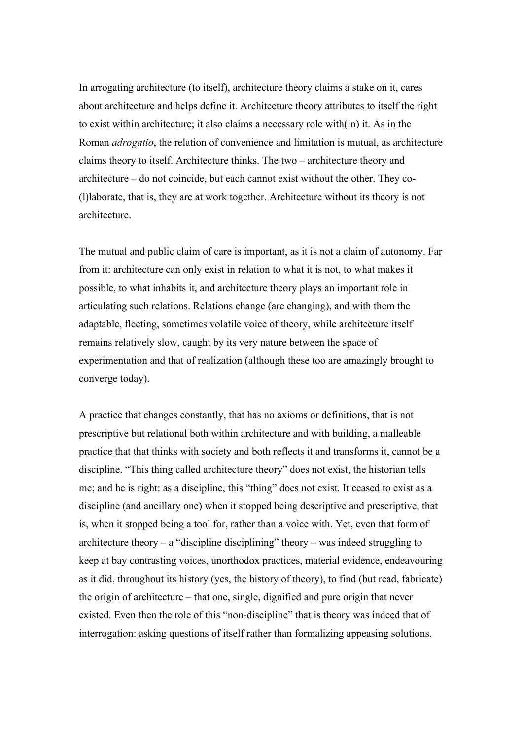In arrogating architecture (to itself), architecture theory claims a stake on it, cares about architecture and helps define it. Architecture theory attributes to itself the right to exist within architecture; it also claims a necessary role with(in) it. As in the Roman *adrogatio*, the relation of convenience and limitation is mutual, as architecture claims theory to itself. Architecture thinks. The two – architecture theory and architecture – do not coincide, but each cannot exist without the other. They co- (l)laborate, that is, they are at work together. Architecture without its theory is not architecture.

The mutual and public claim of care is important, as it is not a claim of autonomy. Far from it: architecture can only exist in relation to what it is not, to what makes it possible, to what inhabits it, and architecture theory plays an important role in articulating such relations. Relations change (are changing), and with them the adaptable, fleeting, sometimes volatile voice of theory, while architecture itself remains relatively slow, caught by its very nature between the space of experimentation and that of realization (although these too are amazingly brought to converge today).

A practice that changes constantly, that has no axioms or definitions, that is not prescriptive but relational both within architecture and with building, a malleable practice that that thinks with society and both reflects it and transforms it, cannot be a discipline. "This thing called architecture theory" does not exist, the historian tells me; and he is right: as a discipline, this "thing" does not exist. It ceased to exist as a discipline (and ancillary one) when it stopped being descriptive and prescriptive, that is, when it stopped being a tool for, rather than a voice with. Yet, even that form of architecture theory – a "discipline disciplining" theory – was indeed struggling to keep at bay contrasting voices, unorthodox practices, material evidence, endeavouring as it did, throughout its history (yes, the history of theory), to find (but read, fabricate) the origin of architecture – that one, single, dignified and pure origin that never existed. Even then the role of this "non-discipline" that is theory was indeed that of interrogation: asking questions of itself rather than formalizing appeasing solutions.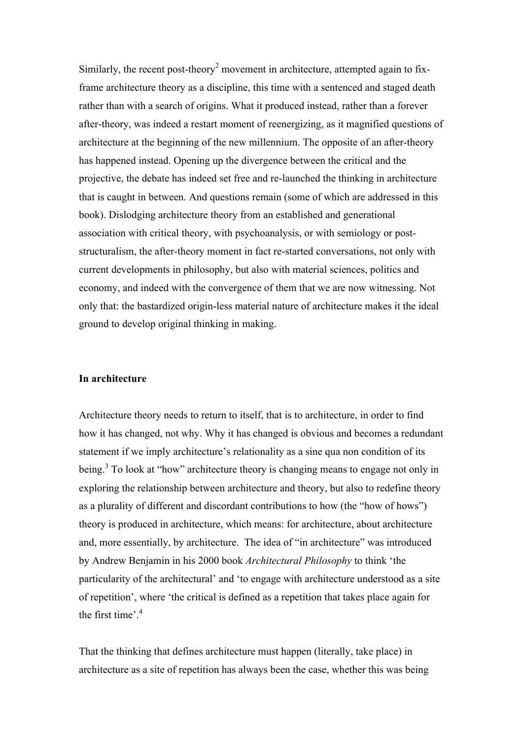Similarly, the recent post-theory<sup>2</sup> movement in architecture, attempted again to fixframe architecture theory as a discipline, this time with a sentenced and staged death rather than with a search of origins. What it produced instead, rather than a forever after-theory, was indeed a restart moment of reenergizing, as it magnified questions of architecture at the beginning of the new millennium. The opposite of an after-theory has happened instead. Opening up the divergence between the critical and the projective, the debate has indeed set free and re-launched the thinking in architecture that is caught in between. And questions remain (some of which are addressed in this book). Dislodging architecture theory from an established and generational association with critical theory, with psychoanalysis, or with semiology or poststructuralism, the after-theory moment in fact re-started conversations, not only with current developments in philosophy, but also with material sciences, politics and economy, and indeed with the convergence of them that we are now witnessing. Not only that: the bastardized origin-less material nature of architecture makes it the ideal ground to develop original thinking in making.

#### **In architecture**

Architecture theory needs to return to itself, that is to architecture, in order to find how it has changed, not why. Why it has changed is obvious and becomes a redundant statement if we imply architecture's relationality as a sine qua non condition of its being.<sup>3</sup> To look at "how" architecture theory is changing means to engage not only in exploring the relationship between architecture and theory, but also to redefine theory as a plurality of different and discordant contributions to how (the "how of hows") theory is produced in architecture, which means: for architecture, about architecture and, more essentially, by architecture. The idea of "in architecture" was introduced by Andrew Benjamin in his 2000 book *Architectural Philosophy* to think 'the particularity of the architectural' and 'to engage with architecture understood as a site of repetition', where 'the critical is defined as a repetition that takes place again for the first time'.  $4$ 

That the thinking that defines architecture must happen (literally, take place) in architecture as a site of repetition has always been the case, whether this was being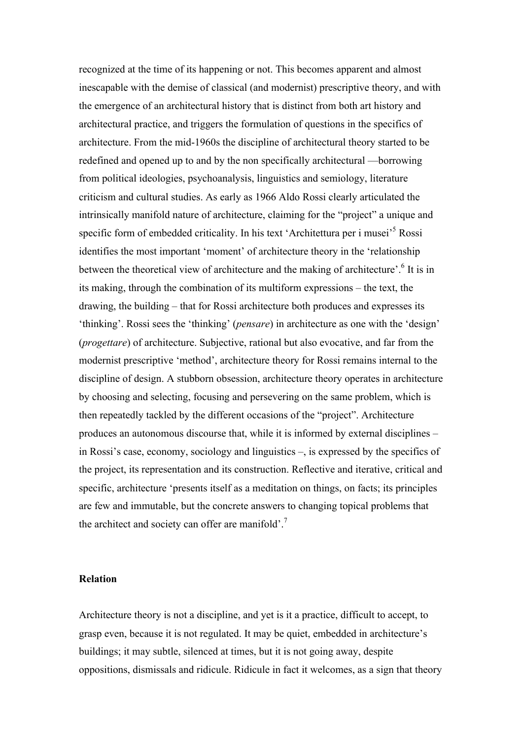recognized at the time of its happening or not. This becomes apparent and almost inescapable with the demise of classical (and modernist) prescriptive theory, and with the emergence of an architectural history that is distinct from both art history and architectural practice, and triggers the formulation of questions in the specifics of architecture. From the mid-1960s the discipline of architectural theory started to be redefined and opened up to and by the non specifically architectural —borrowing from political ideologies, psychoanalysis, linguistics and semiology, literature criticism and cultural studies. As early as 1966 Aldo Rossi clearly articulated the intrinsically manifold nature of architecture, claiming for the "project" a unique and specific form of embedded criticality. In his text 'Architettura per i musei'<sup>5</sup> Rossi identifies the most important 'moment' of architecture theory in the 'relationship between the theoretical view of architecture and the making of architecture'.<sup>6</sup> It is in its making, through the combination of its multiform expressions – the text, the drawing, the building – that for Rossi architecture both produces and expresses its 'thinking'. Rossi sees the 'thinking' (*pensare*) in architecture as one with the 'design' (*progettare*) of architecture. Subjective, rational but also evocative, and far from the modernist prescriptive 'method', architecture theory for Rossi remains internal to the discipline of design. A stubborn obsession, architecture theory operates in architecture by choosing and selecting, focusing and persevering on the same problem, which is then repeatedly tackled by the different occasions of the "project". Architecture produces an autonomous discourse that, while it is informed by external disciplines – in Rossi's case, economy, sociology and linguistics –, is expressed by the specifics of the project, its representation and its construction. Reflective and iterative, critical and specific, architecture 'presents itself as a meditation on things, on facts; its principles are few and immutable, but the concrete answers to changing topical problems that the architect and society can offer are manifold'.<sup>7</sup>

#### **Relation**

Architecture theory is not a discipline, and yet is it a practice, difficult to accept, to grasp even, because it is not regulated. It may be quiet, embedded in architecture's buildings; it may subtle, silenced at times, but it is not going away, despite oppositions, dismissals and ridicule. Ridicule in fact it welcomes, as a sign that theory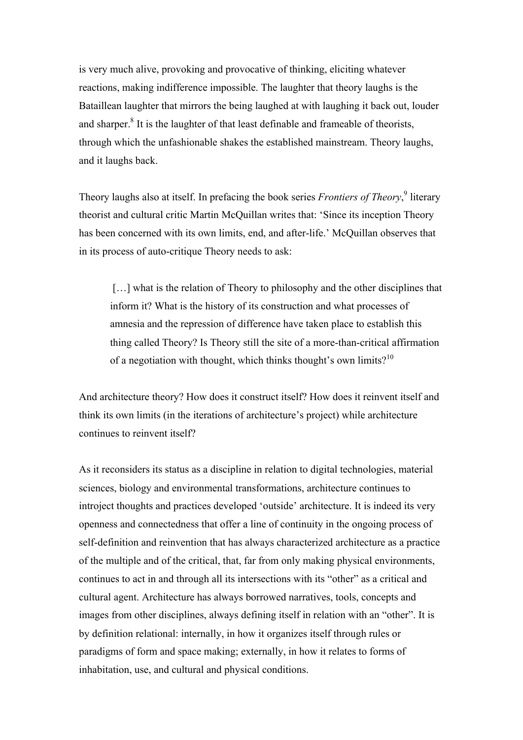is very much alive, provoking and provocative of thinking, eliciting whatever reactions, making indifference impossible. The laughter that theory laughs is the Bataillean laughter that mirrors the being laughed at with laughing it back out, louder and sharper.<sup>8</sup> It is the laughter of that least definable and frameable of theorists, through which the unfashionable shakes the established mainstream. Theory laughs, and it laughs back.

Theory laughs also at itself. In prefacing the book series *Frontiers of Theory*, <sup>9</sup> literary theorist and cultural critic Martin McQuillan writes that: 'Since its inception Theory has been concerned with its own limits, end, and after-life.' McQuillan observes that in its process of auto-critique Theory needs to ask:

[...] what is the relation of Theory to philosophy and the other disciplines that inform it? What is the history of its construction and what processes of amnesia and the repression of difference have taken place to establish this thing called Theory? Is Theory still the site of a more-than-critical affirmation of a negotiation with thought, which thinks thought's own limits?<sup>10</sup>

And architecture theory? How does it construct itself? How does it reinvent itself and think its own limits (in the iterations of architecture's project) while architecture continues to reinvent itself?

As it reconsiders its status as a discipline in relation to digital technologies, material sciences, biology and environmental transformations, architecture continues to introject thoughts and practices developed 'outside' architecture. It is indeed its very openness and connectedness that offer a line of continuity in the ongoing process of self-definition and reinvention that has always characterized architecture as a practice of the multiple and of the critical, that, far from only making physical environments, continues to act in and through all its intersections with its "other" as a critical and cultural agent. Architecture has always borrowed narratives, tools, concepts and images from other disciplines, always defining itself in relation with an "other". It is by definition relational: internally, in how it organizes itself through rules or paradigms of form and space making; externally, in how it relates to forms of inhabitation, use, and cultural and physical conditions.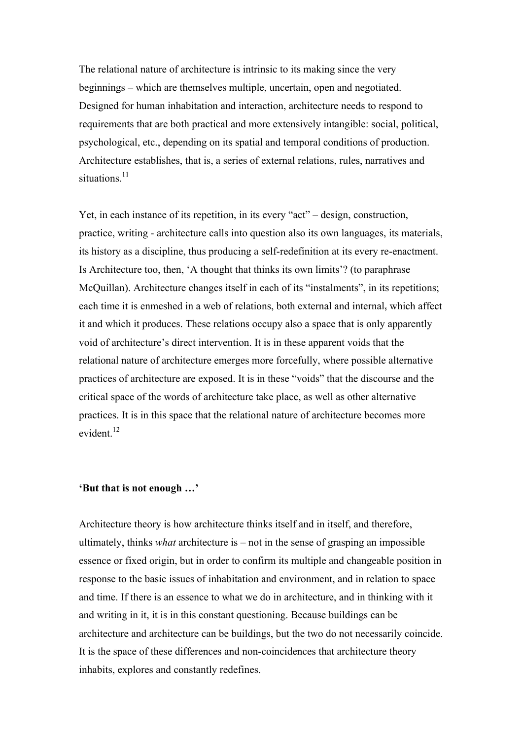The relational nature of architecture is intrinsic to its making since the very beginnings – which are themselves multiple, uncertain, open and negotiated. Designed for human inhabitation and interaction, architecture needs to respond to requirements that are both practical and more extensively intangible: social, political, psychological, etc., depending on its spatial and temporal conditions of production. Architecture establishes, that is, a series of external relations, rules, narratives and situations $11$ 

Yet, in each instance of its repetition, in its every "act" – design, construction, practice, writing - architecture calls into question also its own languages, its materials, its history as a discipline, thus producing a self-redefinition at its every re-enactment. Is Architecture too, then, 'A thought that thinks its own limits'? (to paraphrase McQuillan). Architecture changes itself in each of its "instalments", in its repetitions; each time it is enmeshed in a web of relations, both external and internal, which affect it and which it produces. These relations occupy also a space that is only apparently void of architecture's direct intervention. It is in these apparent voids that the relational nature of architecture emerges more forcefully, where possible alternative practices of architecture are exposed. It is in these "voids" that the discourse and the critical space of the words of architecture take place, as well as other alternative practices. It is in this space that the relational nature of architecture becomes more evident $12$ 

#### **'But that is not enough …'**

Architecture theory is how architecture thinks itself and in itself, and therefore, ultimately, thinks *what* architecture is – not in the sense of grasping an impossible essence or fixed origin, but in order to confirm its multiple and changeable position in response to the basic issues of inhabitation and environment, and in relation to space and time. If there is an essence to what we do in architecture, and in thinking with it and writing in it, it is in this constant questioning. Because buildings can be architecture and architecture can be buildings, but the two do not necessarily coincide. It is the space of these differences and non-coincidences that architecture theory inhabits, explores and constantly redefines.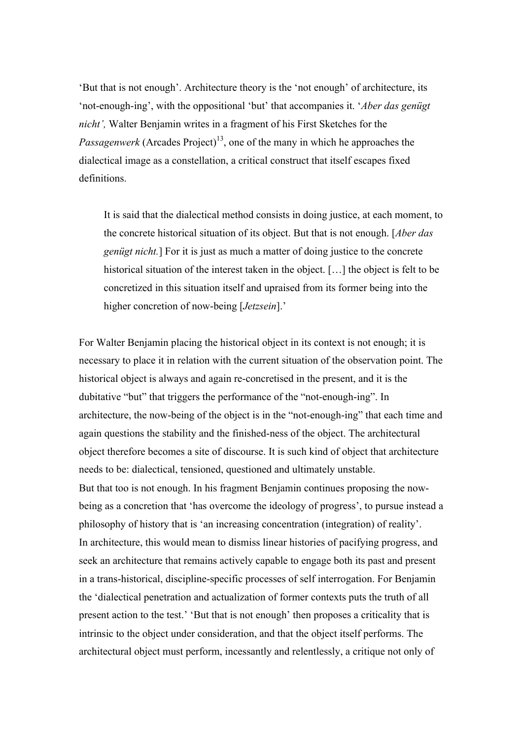'But that is not enough'. Architecture theory is the 'not enough' of architecture, its 'not-enough-ing', with the oppositional 'but' that accompanies it. '*Aber das genügt nicht',* Walter Benjamin writes in a fragment of his First Sketches for the *Passagenwerk* (Arcades Project)<sup>13</sup>, one of the many in which he approaches the dialectical image as a constellation, a critical construct that itself escapes fixed definitions.

It is said that the dialectical method consists in doing justice, at each moment, to the concrete historical situation of its object. But that is not enough. [*Aber das genügt nicht.*] For it is just as much a matter of doing justice to the concrete historical situation of the interest taken in the object. [...] the object is felt to be concretized in this situation itself and upraised from its former being into the higher concretion of now-being [*Jetzsein*].'

For Walter Benjamin placing the historical object in its context is not enough; it is necessary to place it in relation with the current situation of the observation point. The historical object is always and again re-concretised in the present, and it is the dubitative "but" that triggers the performance of the "not-enough-ing". In architecture, the now-being of the object is in the "not-enough-ing" that each time and again questions the stability and the finished-ness of the object. The architectural object therefore becomes a site of discourse. It is such kind of object that architecture needs to be: dialectical, tensioned, questioned and ultimately unstable. But that too is not enough. In his fragment Benjamin continues proposing the nowbeing as a concretion that 'has overcome the ideology of progress', to pursue instead a philosophy of history that is 'an increasing concentration (integration) of reality'. In architecture, this would mean to dismiss linear histories of pacifying progress, and seek an architecture that remains actively capable to engage both its past and present in a trans-historical, discipline-specific processes of self interrogation. For Benjamin the 'dialectical penetration and actualization of former contexts puts the truth of all present action to the test.' 'But that is not enough' then proposes a criticality that is intrinsic to the object under consideration, and that the object itself performs. The architectural object must perform, incessantly and relentlessly, a critique not only of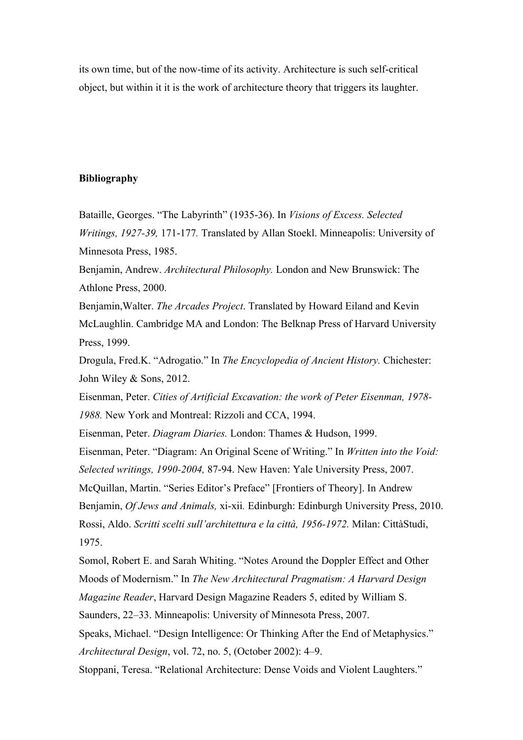its own time, but of the now-time of its activity. Architecture is such self-critical object, but within it it is the work of architecture theory that triggers its laughter.

## **Bibliography**

Bataille, Georges. "The Labyrinth" (1935-36). In *Visions of Excess. Selected Writings, 1927-39,* 171-177*.* Translated by Allan Stoekl. Minneapolis: University of Minnesota Press, 1985.

Benjamin, Andrew. *Architectural Philosophy.* London and New Brunswick: The Athlone Press, 2000.

Benjamin,Walter. *The Arcades Project*. Translated by Howard Eiland and Kevin McLaughlin. Cambridge MA and London: The Belknap Press of Harvard University Press, 1999.

Drogula, Fred.K. "Adrogatio." In *The Encyclopedia of Ancient History.* Chichester: John Wiley & Sons, 2012.

Eisenman, Peter. *Cities of Artificial Excavation: the work of Peter Eisenman, 1978- 1988.* New York and Montreal: Rizzoli and CCA, 1994.

Eisenman, Peter. *Diagram Diaries.* London: Thames & Hudson, 1999.

Eisenman, Peter. "Diagram: An Original Scene of Writing." In *Written into the Void: Selected writings, 1990-2004,* 87-94. New Haven: Yale University Press, 2007.

McQuillan, Martin. "Series Editor's Preface" [Frontiers of Theory]. In Andrew Benjamin, *Of Jews and Animals,* xi-xii*.* Edinburgh: Edinburgh University Press, 2010. Rossi, Aldo. *Scritti scelti sull'architettura e la città, 1956-1972.* Milan: CittàStudi, 1975.

Somol, Robert E. and Sarah Whiting. "Notes Around the Doppler Effect and Other Moods of Modernism." In *The New Architectural Pragmatism: A Harvard Design Magazine Reader*, Harvard Design Magazine Readers 5, edited by William S.

Saunders, 22–33. Minneapolis: University of Minnesota Press, 2007.

Speaks, Michael. "Design Intelligence: Or Thinking After the End of Metaphysics." *Architectural Design*, vol. 72, no. 5, (October 2002): 4–9.

Stoppani, Teresa. "Relational Architecture: Dense Voids and Violent Laughters."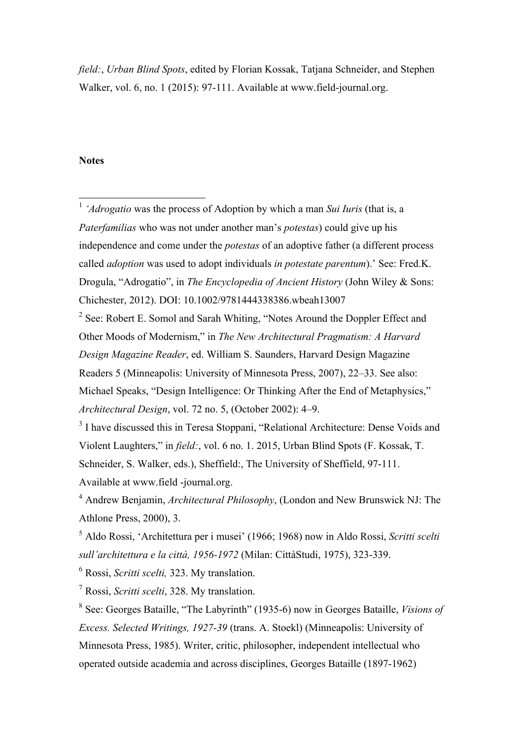*field:*, *Urban Blind Spots*, edited by Florian Kossak, Tatjana Schneider, and Stephen Walker, vol. 6, no. 1 (2015): 97-111. Available at www.field-journal.org.

### **Notes**

 <sup>1</sup> *'Adrogatio* was the process of Adoption by which a man *Sui Iuris* (that is, a *Paterfamilias* who was not under another man's *potestas*) could give up his independence and come under the *potestas* of an adoptive father (a different process called *adoption* was used to adopt individuals *in potestate parentum*).' See: Fred.K. Drogula, "Adrogatio", in *The Encyclopedia of Ancient History* (John Wiley & Sons: Chichester, 2012). DOI: 10.1002/9781444338386.wbeah13007

 $2$  See: Robert E. Somol and Sarah Whiting, "Notes Around the Doppler Effect and Other Moods of Modernism," in *The New Architectural Pragmatism: A Harvard Design Magazine Reader*, ed. William S. Saunders, Harvard Design Magazine Readers 5 (Minneapolis: University of Minnesota Press, 2007), 22–33. See also: Michael Speaks, "Design Intelligence: Or Thinking After the End of Metaphysics," *Architectural Design*, vol. 72 no. 5, (October 2002): 4–9.

<sup>3</sup> I have discussed this in Teresa Stoppani, "Relational Architecture: Dense Voids and Violent Laughters," in *field:*, vol. 6 no. 1. 2015, Urban Blind Spots (F. Kossak, T. Schneider, S. Walker, eds.), Sheffield:, The University of Sheffield, 97-111. Available at www.field -journal.org.

<sup>4</sup> Andrew Benjamin, *Architectural Philosophy*, (London and New Brunswick NJ: The Athlone Press, 2000), 3.

<sup>5</sup> Aldo Rossi, 'Architettura per i musei' (1966; 1968) now in Aldo Rossi, *Scritti scelti sull'architettura e la città, 1956-1972* (Milan: CittàStudi, 1975), 323-339.

<sup>6</sup> Rossi, *Scritti scelti,* 323. My translation.

<sup>7</sup> Rossi, *Scritti scelti*, 328. My translation.

<sup>8</sup> See: Georges Bataille, "The Labyrinth" (1935-6) now in Georges Bataille, *Visions of Excess. Selected Writings, 1927-39* (trans. A. Stoekl) (Minneapolis: University of Minnesota Press, 1985). Writer, critic, philosopher, independent intellectual who operated outside academia and across disciplines, Georges Bataille (1897-1962)